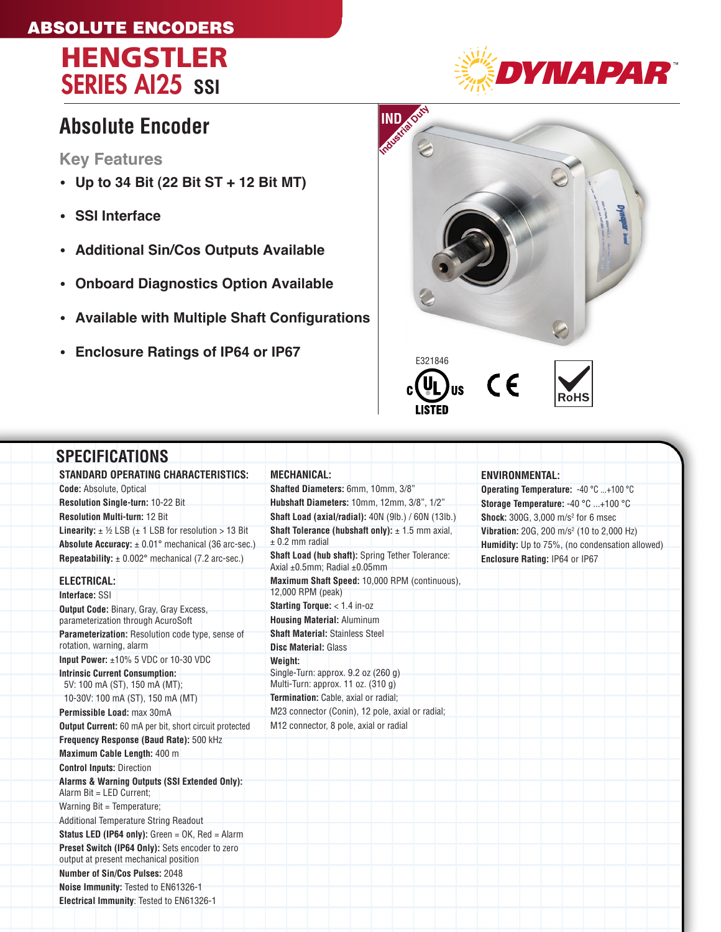## ABSOLUTE ENCODERS





## **Absolute Encoder**

**Key Features**

- **Up to 34 Bit (22 Bit ST + 12 Bit MT)**
- **SSI Interface**
- **Additional Sin/Cos Outputs Available**
- **Onboard Diagnostics Option Available**
- • **Available with Multiple Shaft Configurations**
- **Enclosure Ratings of IP64 or IP67**



| <b>SPECIFICATIONS</b>                                                                    |                                                                                              |                                                       |
|------------------------------------------------------------------------------------------|----------------------------------------------------------------------------------------------|-------------------------------------------------------|
| <b>STANDARD OPERATING CHARACTERISTICS:</b>                                               | <b>MECHANICAL:</b>                                                                           | <b>ENVIRONMENTAL:</b>                                 |
| <b>Code:</b> Absolute, Optical                                                           | Shafted Diameters: 6mm, 10mm, 3/8"                                                           | Operating Temperature: -40 °C +100 °C                 |
| Resolution Single-turn: 10-22 Bit                                                        | Hubshaft Diameters: 10mm, 12mm, 3/8", 1/2"                                                   | Storage Temperature: -40 °C +100 °C                   |
| <b>Resolution Multi-turn: 12 Bit</b>                                                     | Shaft Load (axial/radial): 40N (9lb.) / 60N (13lb.)                                          | <b>Shock:</b> 300G, 3,000 m/s <sup>2</sup> for 6 msec |
| <b>Linearity:</b> $\pm$ 1/2 LSB ( $\pm$ 1 LSB for resolution > 13 Bit                    | <b>Shaft Tolerance (hubshaft only):</b> $\pm$ 1.5 mm axial,                                  | Vibration: 20G, 200 m/s <sup>2</sup> (10 to 2,000 Hz) |
| <b>Absolute Accuracy:</b> $\pm$ 0.01° mechanical (36 arc-sec.)                           | $± 0.2$ mm radial                                                                            | Humidity: Up to 75%, (no condensation allowed)        |
| <b>Repeatability:</b> $\pm$ 0.002° mechanical (7.2 arc-sec.)                             | Shaft Load (hub shaft): Spring Tether Tolerance:<br>Axial $\pm 0.5$ mm: Radial $\pm 0.05$ mm | Enclosure Rating: IP64 or IP67                        |
| <b>ELECTRICAL:</b>                                                                       | Maximum Shaft Speed: 10,000 RPM (continuous),                                                |                                                       |
| Interface: SSI                                                                           | 12,000 RPM (peak)                                                                            |                                                       |
| Output Code: Binary, Gray, Gray Excess,                                                  | Starting Torque: < 1.4 in-oz                                                                 |                                                       |
| parameterization through AcuroSoft                                                       | <b>Housing Material: Aluminum</b>                                                            |                                                       |
| Parameterization: Resolution code type, sense of                                         | <b>Shaft Material: Stainless Steel</b>                                                       |                                                       |
| rotation, warning, alarm                                                                 | <b>Disc Material: Glass</b>                                                                  |                                                       |
| Input Power: $\pm 10\%$ 5 VDC or 10-30 VDC                                               | Weight:                                                                                      |                                                       |
| <b>Intrinsic Current Consumption:</b>                                                    | Single-Turn: approx. 9.2 oz (260 g)                                                          |                                                       |
| 5V: 100 mA (ST), 150 mA (MT);                                                            | Multi-Turn: approx. 11 oz. (310 g)                                                           |                                                       |
| 10-30V: 100 mA (ST), 150 mA (MT)                                                         | Termination: Cable, axial or radial;                                                         |                                                       |
| Permissible Load: max 30mA                                                               | M23 connector (Conin), 12 pole, axial or radial;                                             |                                                       |
| Output Current: 60 mA per bit, short circuit protected                                   | M12 connector, 8 pole, axial or radial                                                       |                                                       |
| Frequency Response (Baud Rate): 500 kHz                                                  |                                                                                              |                                                       |
| Maximum Cable Length: 400 m                                                              |                                                                                              |                                                       |
| <b>Control Inputs: Direction</b>                                                         |                                                                                              |                                                       |
| Alarms & Warning Outputs (SSI Extended Only):<br>Alarm Bit = LED Current:                |                                                                                              |                                                       |
| Warning Bit = Temperature;                                                               |                                                                                              |                                                       |
| Additional Temperature String Readout                                                    |                                                                                              |                                                       |
| <b>Status LED (IP64 only):</b> Green = $OK$ , Red = Alarm                                |                                                                                              |                                                       |
| Preset Switch (IP64 Only): Sets encoder to zero<br>output at present mechanical position |                                                                                              |                                                       |
| Number of Sin/Cos Pulses: 2048                                                           |                                                                                              |                                                       |
| Noise Immunity: Tested to EN61326-1                                                      |                                                                                              |                                                       |
| Electrical Immunity: Tested to EN61326-1                                                 |                                                                                              |                                                       |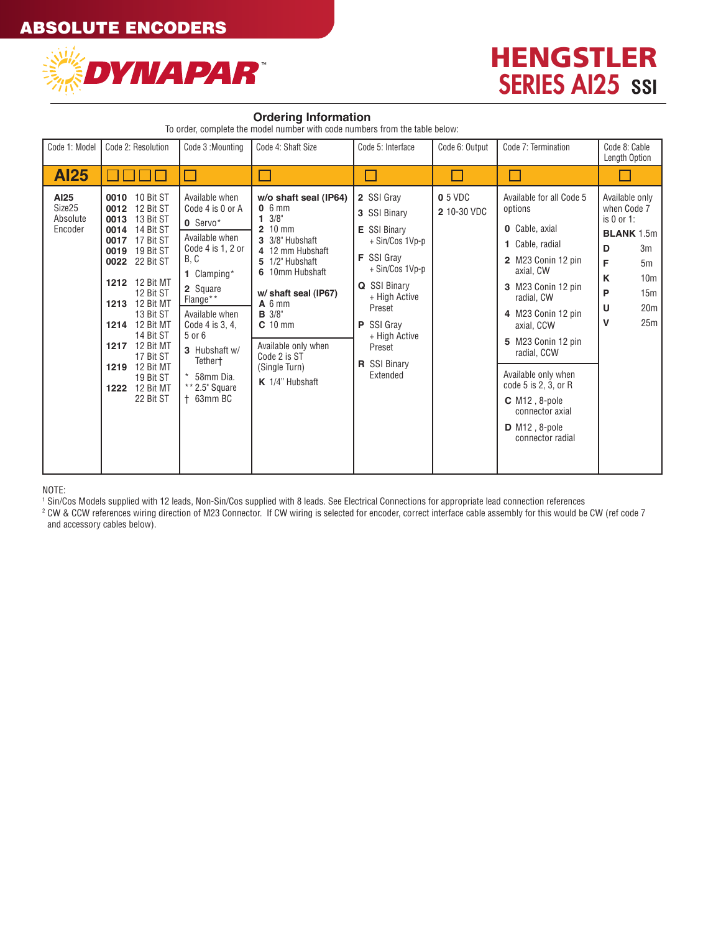

## HENGSTLER **SERIES AI25 SSI**

#### **Ordering Information**

To order, complete the model number with code numbers from the table below:

| Code 1: Model                         | Code 2: Resolution                                                                                                                                                                                                                                                                                                                                          | Code 3: Mounting                                                                                                                                                                                                                                                    | Code 4: Shaft Size                                                                                                                                                                                                                                                                         | Code 5: Interface                                                                                                                                                                                                     | Code 6: Output                | Code 7: Termination                                                                                                                                                                                                                                                                                                                                                      | Code 8: Cable<br>Length Option                                                                                                                                 |
|---------------------------------------|-------------------------------------------------------------------------------------------------------------------------------------------------------------------------------------------------------------------------------------------------------------------------------------------------------------------------------------------------------------|---------------------------------------------------------------------------------------------------------------------------------------------------------------------------------------------------------------------------------------------------------------------|--------------------------------------------------------------------------------------------------------------------------------------------------------------------------------------------------------------------------------------------------------------------------------------------|-----------------------------------------------------------------------------------------------------------------------------------------------------------------------------------------------------------------------|-------------------------------|--------------------------------------------------------------------------------------------------------------------------------------------------------------------------------------------------------------------------------------------------------------------------------------------------------------------------------------------------------------------------|----------------------------------------------------------------------------------------------------------------------------------------------------------------|
| <b>Al25</b>                           |                                                                                                                                                                                                                                                                                                                                                             |                                                                                                                                                                                                                                                                     |                                                                                                                                                                                                                                                                                            |                                                                                                                                                                                                                       |                               |                                                                                                                                                                                                                                                                                                                                                                          |                                                                                                                                                                |
| AI25<br>Size25<br>Absolute<br>Encoder | 0010 10 Bit ST<br>12 Bit ST<br>0012<br>13 Bit ST<br>0013<br>14 Bit ST<br>0014<br>17 Bit ST<br>0017<br>19 Bit ST<br>0019<br>22 Bit ST<br>0022<br>1212 12 Bit MT<br>12 Bit ST<br>1213 12 Bit MT<br>13 Bit ST<br>1214 12 Bit MT<br>14 Bit ST<br><b>1217</b> 12 Bit MT<br>17 Bit ST<br><b>1219</b> 12 Bit MT<br>19 Bit ST<br><b>1222</b> 12 Bit MT<br>22 Bit ST | Available when<br>Code 4 is 0 or A<br>0 Servo*<br>Available when<br>Code 4 is $1, 2$ or<br>B, C<br>1 Clamping*<br>2 Square<br>Flange**<br>Available when<br>Code 4 is 3, 4,<br>5 or 6<br>3 Hubshaft w/<br>Tethert<br>$*$ 58mm Dia.<br>** 2.5" Square<br>$+$ 63mm BC | w/o shaft seal (IP64)<br>$0.6$ mm<br>$1 \frac{3}{8}$<br>$210$ mm<br>3 3/8" Hubshaft<br>4 12 mm Hubshaft<br>5 1/2" Hubshaft<br>6 10mm Hubshaft<br>w/ shaft seal (IP67)<br>$A_6$ mm<br><b>B</b> 3/8"<br>$C$ 10 mm<br>Available only when<br>Code 2 is ST<br>(Single Turn)<br>K 1/4" Hubshaft | 2 SSI Grav<br>3 SSI Binary<br>E SSI Binary<br>+ Sin/Cos 1Vp-p<br>F SSI Grav<br>+ Sin/Cos 1Vp-p<br>Q SSI Binary<br>+ High Active<br>Preset<br>P SSI Gray<br>+ High Active<br>Preset<br><b>R</b> SSI Binary<br>Extended | <b>0</b> 5 VDC<br>2 10-30 VDC | Available for all Code 5<br>options<br><b>0</b> Cable, axial<br>1 Cable, radial<br>2 M23 Conin 12 pin<br>axial, CW<br>3 M23 Conin 12 pin<br>radial. CW<br>4 M23 Conin 12 pin<br>axial, CCW<br>5 M23 Conin 12 pin<br>radial, CCW<br>Available only when<br>code 5 is 2, 3, or R<br>$C$ M <sub>12</sub> , 8-pole<br>connector axial<br>$D$ M12, 8-pole<br>connector radial | Available only<br>when Code 7<br>is 0 or 1:<br><b>BLANK 1.5m</b><br>D<br>3m<br>F<br>5m<br>K<br>10 <sub>m</sub><br>P<br>15m<br>U<br>20 <sub>m</sub><br>v<br>25m |

#### NOTE:

1 Sin/Cos Models supplied with 12 leads, Non-Sin/Cos supplied with 8 leads. See Electrical Connections for appropriate lead connection references

<sup>2</sup> CW & CCW references wiring direction of M23 Connector. If CW wiring is selected for encoder, correct interface cable assembly for this would be CW (ref code 7 and accessory cables below).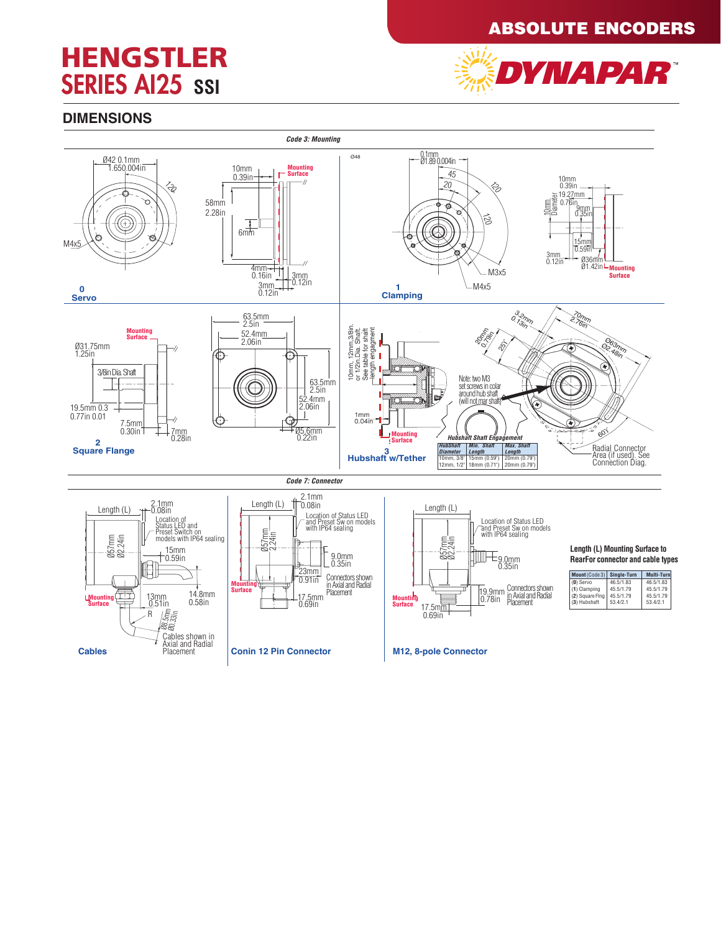### ABSOLUTE ENCODERS

## **HENGSTLER SERIES AI25 SSI**



### **DIMENSIONS**

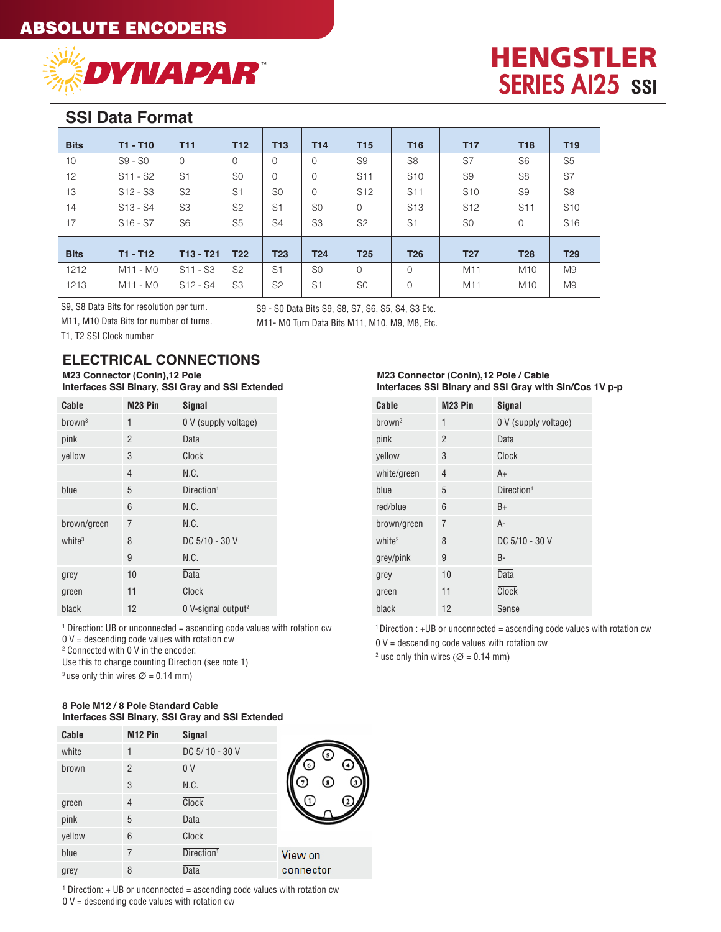

## HENGSTLER **SERIES AI25 SSI**

### **SSI Data Format**

| <b>Bits</b> | $T1 - T10$ | <b>T11</b>     | <b>T12</b>      | T <sub>13</sub> | T <sub>14</sub> | <b>T15</b>      | <b>T16</b>      | <b>T17</b>      | <b>T18</b>      | T <sub>19</sub> |
|-------------|------------|----------------|-----------------|-----------------|-----------------|-----------------|-----------------|-----------------|-----------------|-----------------|
| 10          | $S9 - S0$  | $\mathbf{O}$   | $\mathbf 0$     | 0               | $\circ$         | S <sub>9</sub>  | S <sub>8</sub>  | S7              | S <sub>6</sub>  | S <sub>5</sub>  |
| 12          | S11 - S2   | S <sub>1</sub> | S <sub>0</sub>  | 0               | $\mathbf 0$     | S <sub>11</sub> | S <sub>10</sub> | S <sub>9</sub>  | S <sub>8</sub>  | S7              |
| 13          | S12 - S3   | S <sub>2</sub> | S <sub>1</sub>  | S <sub>0</sub>  | 0               | S <sub>12</sub> | S <sub>11</sub> | S <sub>10</sub> | S <sub>9</sub>  | S <sub>8</sub>  |
| 14          | S13 - S4   | S <sub>3</sub> | S <sub>2</sub>  | S <sub>1</sub>  | S <sub>0</sub>  | $\mathbf 0$     | S <sub>13</sub> | S <sub>12</sub> | S <sub>11</sub> | S <sub>10</sub> |
| 17          | $S16 - S7$ | S <sub>6</sub> | S <sub>5</sub>  | S <sub>4</sub>  | S <sub>3</sub>  | S <sub>2</sub>  | S <sub>1</sub>  | S <sub>0</sub>  | $\mathbf 0$     | S <sub>16</sub> |
| <b>Bits</b> | $T1 - T12$ | $T13 - T21$    | T <sub>22</sub> | <b>T23</b>      | <b>T24</b>      | <b>T25</b>      | <b>T26</b>      | <b>T27</b>      | <b>T28</b>      | <b>T29</b>      |
| 1212        | M11 - M0   | $S11 - S3$     | S <sub>2</sub>  | S <sub>1</sub>  | S <sub>0</sub>  | $\Omega$        | 0               | M11             | M <sub>10</sub> | M <sub>9</sub>  |
| 1213        | M11 - M0   | $S12 - S4$     | S <sub>3</sub>  | S <sub>2</sub>  | S <sub>1</sub>  | S <sub>0</sub>  | $\overline{0}$  | M11             | M <sub>10</sub> | M <sub>9</sub>  |

S9, S8 Data Bits for resolution per turn.

M11, M10 Data Bits for number of turns.

S9 - S0 Data Bits S9, S8, S7, S6, S5, S4, S3 Etc. M11- M0 Turn Data Bits M11, M10, M9, M8, Etc.

T1, T2 SSI Clock number

### **ELECTRICAL CONNECTIONS**

**M23 Connector (Conin),12 Pole Interfaces SSI Binary, SSI Gray and SSI Extended**

| Cable              | M <sub>23</sub> Pin | Signal                           |
|--------------------|---------------------|----------------------------------|
| brown <sup>3</sup> | 1                   | 0 V (supply voltage)             |
| pink               | $\mathfrak{p}$      | Data                             |
| vellow             | 3                   | Clock                            |
|                    | 4                   | N.C.                             |
| blue               | 5                   | Direction <sup>1</sup>           |
|                    | 6                   | N.C.                             |
| brown/green        | $\overline{7}$      | N.C.                             |
| white <sup>3</sup> | 8                   | DC 5/10 - 30 V                   |
|                    | 9                   | N.C.                             |
| grey               | 10                  | <b>Data</b>                      |
| green              | 11                  | Clock                            |
| black              | 12                  | $0$ V-signal output <sup>2</sup> |

<sup>1</sup> Direction: UB or unconnected = ascending code values with rotation cw  $0 V =$  descending code values with rotation cw

2 Connected with 0 V in the encoder.

Use this to change counting Direction (see note 1)

<sup>3</sup> use only thin wires  $\varnothing$  = 0.14 mm)

#### **8 Pole M12 / 8 Pole Standard Cable Interfaces SSI Binary, SSI Gray and SSI Extended**

| Cable  | M <sub>12</sub> Pin | Signal                 |                |
|--------|---------------------|------------------------|----------------|
| white  | 1                   | DC 5/10 - 30 V         | $\mathfrak{c}$ |
| brown  | $\overline{2}$      | 0 <sub>V</sub>         | 6              |
|        | 3                   | N.C.                   | L8.            |
| green  | $\overline{4}$      | <b>Clock</b>           |                |
| pink   | 5                   | Data                   |                |
| yellow | 6                   | Clock                  |                |
| blue   | $\overline{7}$      | Direction <sup>1</sup> | View on        |
| grey   | 8                   | <b>Data</b>            | connector      |
|        |                     |                        |                |

 $1$  Direction:  $+$  UB or unconnected = ascending code values with rotation cw  $0 V =$  descending code values with rotation cw

#### **M23 Connector (Conin),12 Pole / Cable Interfaces SSI Binary and SSI Gray with Sin/Cos 1V p-p**

| Cable              | M <sub>23</sub> Pin | Signal                 |
|--------------------|---------------------|------------------------|
| brown <sup>2</sup> | 1                   | 0 V (supply voltage)   |
| pink               | $\mathfrak{p}$      | Data                   |
| vellow             | 3                   | Clock                  |
| white/green        | 4                   | A+                     |
| blue               | 5                   | Direction <sup>1</sup> |
| red/blue           | 6                   | $B+$                   |
| brown/green        | $\overline{7}$      | A-                     |
| white <sup>2</sup> | 8                   | DC 5/10 - 30 V         |
| grey/pink          | 9                   | B-                     |
| grey               | 10                  | Data                   |
| green              | 11                  | Clock                  |
| black              | 12                  | Sense                  |

 $1$ <sup>1</sup> Direction : +UB or unconnected = ascending code values with rotation cw  $0 V =$  descending code values with rotation cw

<sup>2</sup> use only thin wires ( $\varnothing$  = 0.14 mm)